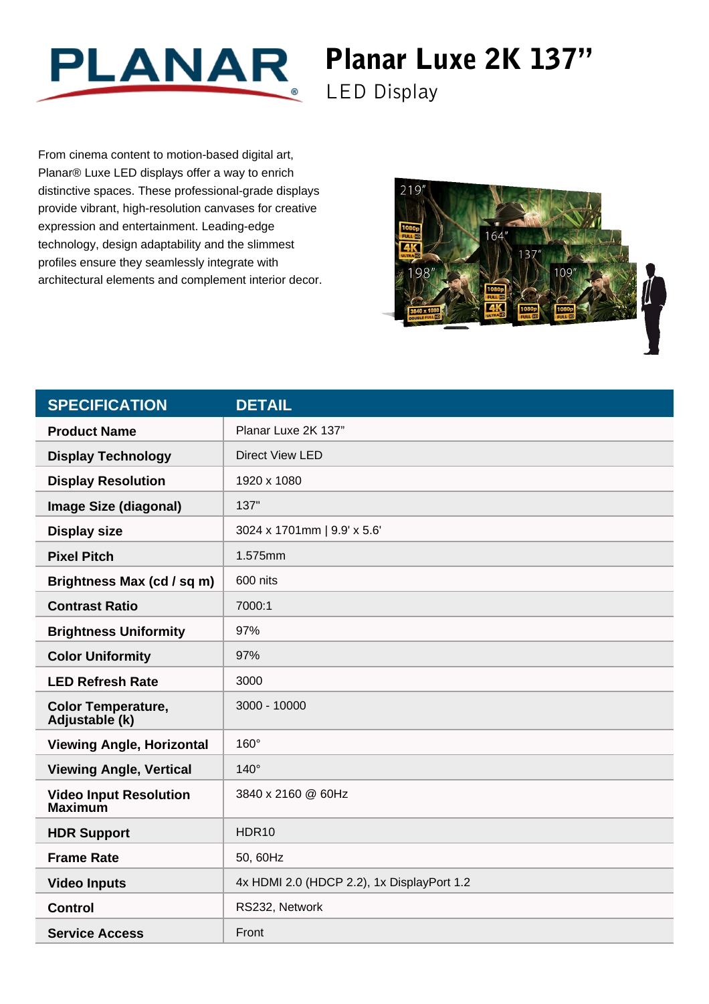

## Planar Luxe 2K 137"

LED Display

From cinema content to motion-based digital art, Planar® Luxe LED displays offer a way to enrich distinctive spaces. These professional-grade displays provide vibrant, high-resolution canvases for creative expression and entertainment. Leading-edge technology, design adaptability and the slimmest profiles ensure they seamlessly integrate with architectural elements and complement interior decor.



| <b>SPECIFICATION</b>                            | <b>DETAIL</b>                              |
|-------------------------------------------------|--------------------------------------------|
| <b>Product Name</b>                             | Planar Luxe 2K 137"                        |
| <b>Display Technology</b>                       | <b>Direct View LED</b>                     |
| <b>Display Resolution</b>                       | 1920 x 1080                                |
| <b>Image Size (diagonal)</b>                    | 137"                                       |
| <b>Display size</b>                             | 3024 x 1701mm   9.9' x 5.6'                |
| <b>Pixel Pitch</b>                              | 1.575mm                                    |
| Brightness Max (cd / sq m)                      | 600 nits                                   |
| <b>Contrast Ratio</b>                           | 7000:1                                     |
| <b>Brightness Uniformity</b>                    | 97%                                        |
| <b>Color Uniformity</b>                         | 97%                                        |
| <b>LED Refresh Rate</b>                         | 3000                                       |
| <b>Color Temperature,</b><br>Adjustable (k)     | 3000 - 10000                               |
| <b>Viewing Angle, Horizontal</b>                | 160°                                       |
| <b>Viewing Angle, Vertical</b>                  | $140^\circ$                                |
| <b>Video Input Resolution</b><br><b>Maximum</b> | 3840 x 2160 @ 60Hz                         |
| <b>HDR Support</b>                              | HDR10                                      |
| <b>Frame Rate</b>                               | 50, 60Hz                                   |
| <b>Video Inputs</b>                             | 4x HDMI 2.0 (HDCP 2.2), 1x DisplayPort 1.2 |
| <b>Control</b>                                  | RS232, Network                             |
| <b>Service Access</b>                           | Front                                      |